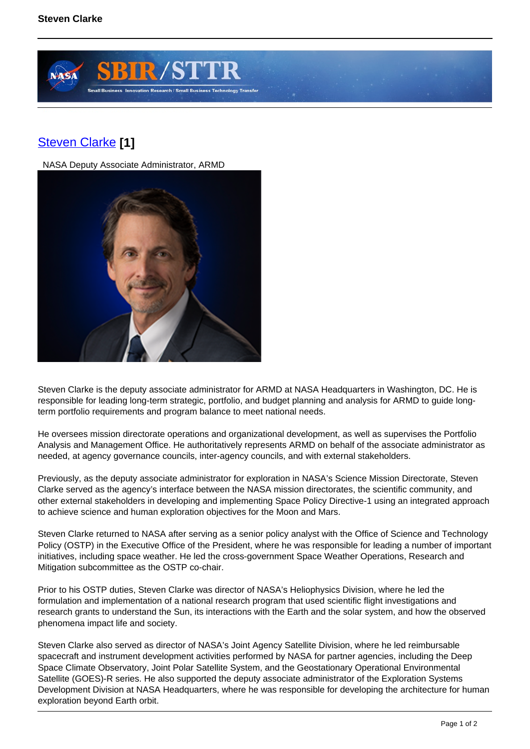

## [Steven Clarke](https://sbir.gsfc.nasa.gov/content/steven-clarke) **[1]**

NASA Deputy Associate Administrator, ARMD



Steven Clarke is the deputy associate administrator for ARMD at NASA Headquarters in Washington, DC. He is responsible for leading long-term strategic, portfolio, and budget planning and analysis for ARMD to guide longterm portfolio requirements and program balance to meet national needs.

He oversees mission directorate operations and organizational development, as well as supervises the Portfolio Analysis and Management Office. He authoritatively represents ARMD on behalf of the associate administrator as needed, at agency governance councils, inter-agency councils, and with external stakeholders.

Previously, as the deputy associate administrator for exploration in NASA's Science Mission Directorate, Steven Clarke served as the agency's interface between the NASA mission directorates, the scientific community, and other external stakeholders in developing and implementing Space Policy Directive-1 using an integrated approach to achieve science and human exploration objectives for the Moon and Mars.

Steven Clarke returned to NASA after serving as a senior policy analyst with the Office of Science and Technology Policy (OSTP) in the Executive Office of the President, where he was responsible for leading a number of important initiatives, including space weather. He led the cross-government Space Weather Operations, Research and Mitigation subcommittee as the OSTP co-chair.

Prior to his OSTP duties, Steven Clarke was director of NASA's Heliophysics Division, where he led the formulation and implementation of a national research program that used scientific flight investigations and research grants to understand the Sun, its interactions with the Earth and the solar system, and how the observed phenomena impact life and society.

Steven Clarke also served as director of NASA's Joint Agency Satellite Division, where he led reimbursable spacecraft and instrument development activities performed by NASA for partner agencies, including the Deep Space Climate Observatory, Joint Polar Satellite System, and the Geostationary Operational Environmental Satellite (GOES)-R series. He also supported the deputy associate administrator of the Exploration Systems Development Division at NASA Headquarters, where he was responsible for developing the architecture for human exploration beyond Earth orbit.